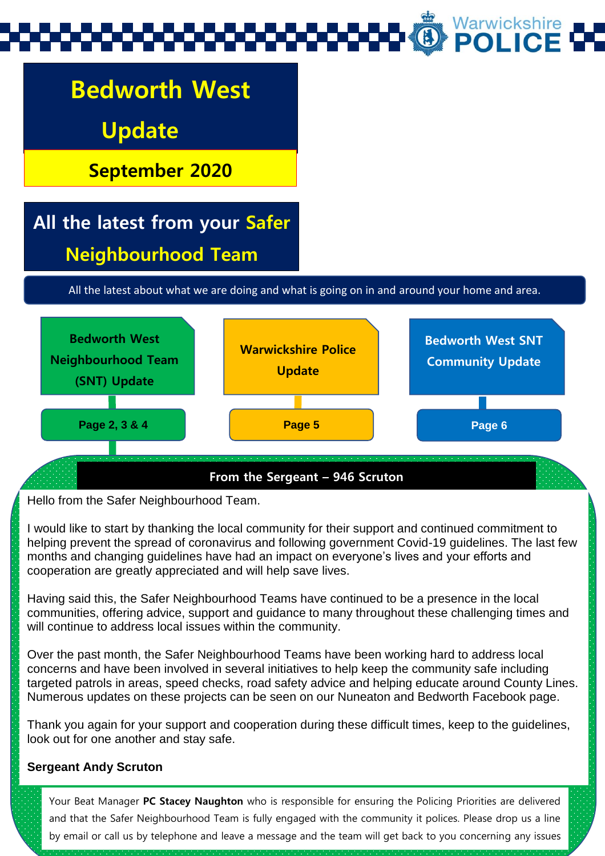

Hello from the Safer Neighbourhood Team.

I would like to start by thanking the local community for their support and continued commitment to helping prevent the spread of coronavirus and following government Covid-19 guidelines. The last few months and changing guidelines have had an impact on everyone's lives and your efforts and cooperation are greatly appreciated and will help save lives.

Having said this, the Safer Neighbourhood Teams have continued to be a presence in the local communities, offering advice, support and guidance to many throughout these challenging times and will continue to address local issues within the community.

Over the past month, the Safer Neighbourhood Teams have been working hard to address local concerns and have been involved in several initiatives to help keep the community safe including targeted patrols in areas, speed checks, road safety advice and helping educate around County Lines. Numerous updates on these projects can be seen on our Nuneaton and Bedworth Facebook page.

Thank you again for your support and cooperation during these difficult times, keep to the guidelines, look out for one another and stay safe.

#### **Sergeant Andy Scruton**

Your Beat Manager **PC Stacey Naughton** who is responsible for ensuring the Policing Priorities are delivered and that the Safer Neighbourhood Team is fully engaged with the community it polices. Please drop us a line by email or call us by telephone and leave a message and the team will get back to you concerning any issues

you may have. See page 3 for all the details on how you can contact your SNT.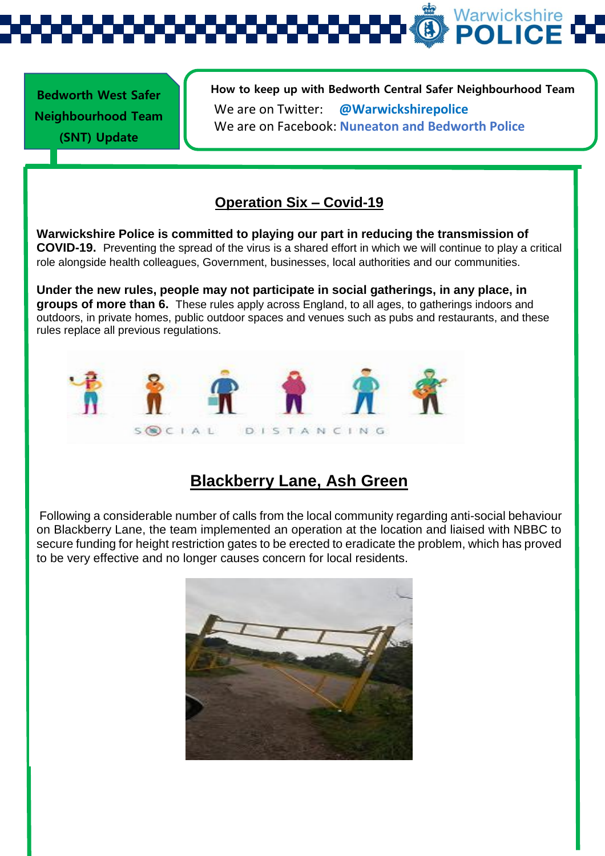Warwickshire

**Bedworth West Safer Neighbourhood Team (SNT) Update** 

**How to keep up with Bedworth Central Safer Neighbourhood Team**  We are on Twitter: **@Warwickshirepolice** We are on Facebook: **Nuneaton and Bedworth Police** 

#### **Operation Six – Covid-19**

**Out and about with Bedworth West SNT Warwickshire Police is committed to playing our part in reducing the transmission of COVID-19.** Preventing the spread of the virus is a shared effort in which we will continue to play a critical role alongside health colleagues, Government, businesses, local authorities and our communities.

**Under the new rules, people may not participate in social gatherings, in any place, in groups of more than 6.** These rules apply across England, to all ages, to gatherings indoors and outdoors, in private homes, public outdoor spaces and venues such as pubs and restaurants, and these rules replace all previous regulations.



### **Blackberry Lane, Ash Green**

Following a considerable number of calls from the local community regarding anti-social behaviour on Blackberry Lane, the team implemented an operation at the location and liaised with NBBC to secure funding for height restriction gates to be erected to eradicate the problem, which has proved to be very effective and no longer causes concern for local residents.

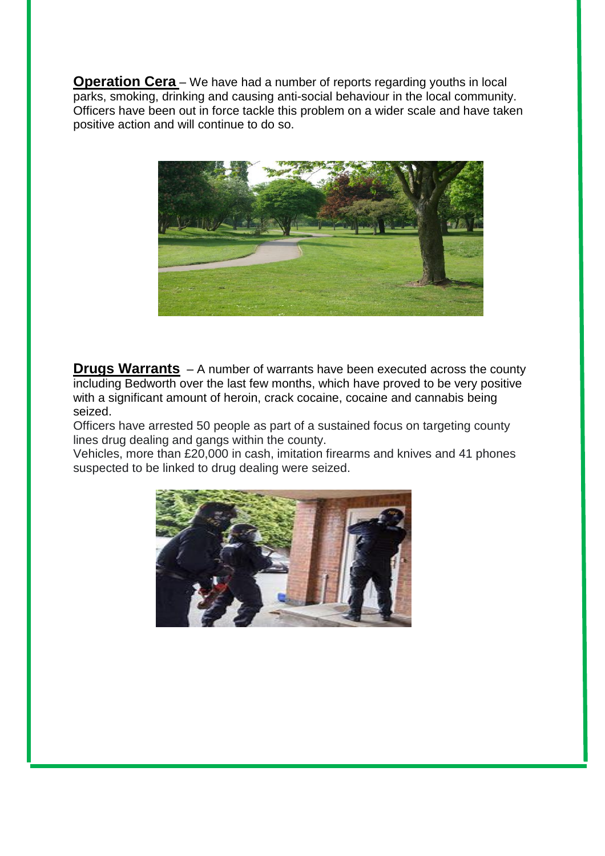**Operation Cera** – We have had a number of reports regarding youths in local parks, smoking, drinking and causing anti-social behaviour in the local community. Officers have been out in force tackle this problem on a wider scale and have taken positive action and will continue to do so.



**Drugs Warrants** – A number of warrants have been executed across the county including Bedworth over the last few months, which have proved to be very positive with a significant amount of heroin, crack cocaine, cocaine and cannabis being seized.

Officers have arrested 50 people as part of a sustained focus on targeting county lines drug dealing and gangs within the county.

Vehicles, more than £20,000 in cash, imitation firearms and knives and 41 phones suspected to be linked to drug dealing were seized.

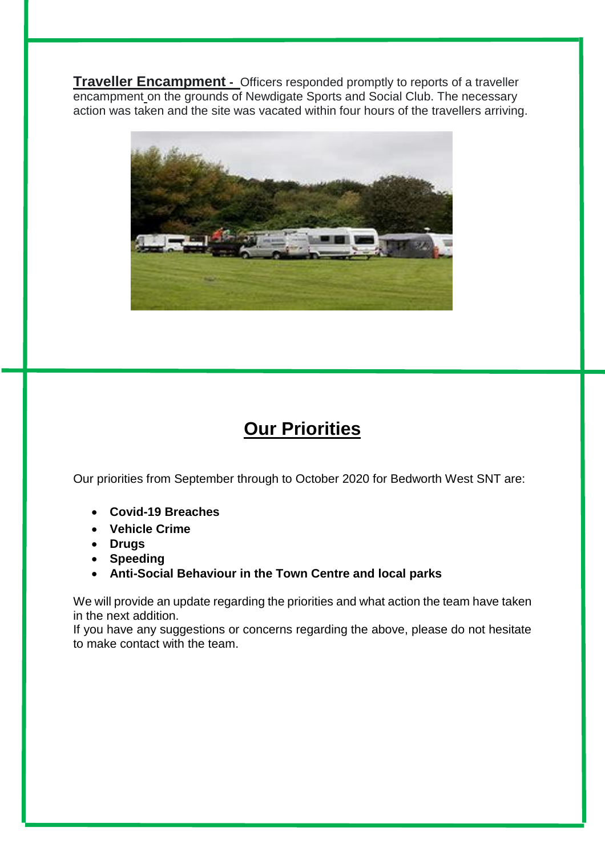**Traveller Encampment -** Officers responded promptly to reports of a traveller encampment on the grounds of Newdigate Sports and Social Club. The necessary action was taken and the site was vacated within four hours of the travellers arriving.



### **Our Priorities**

Our priorities from September through to October 2020 for Bedworth West SNT are:

- **Covid-19 Breaches**
- **Vehicle Crime**
- **Drugs**
- **Speeding**
- **Anti-Social Behaviour in the Town Centre and local parks**

We will provide an update regarding the priorities and what action the team have taken in the next addition.

If you have any suggestions or concerns regarding the above, please do not hesitate to make contact with the team.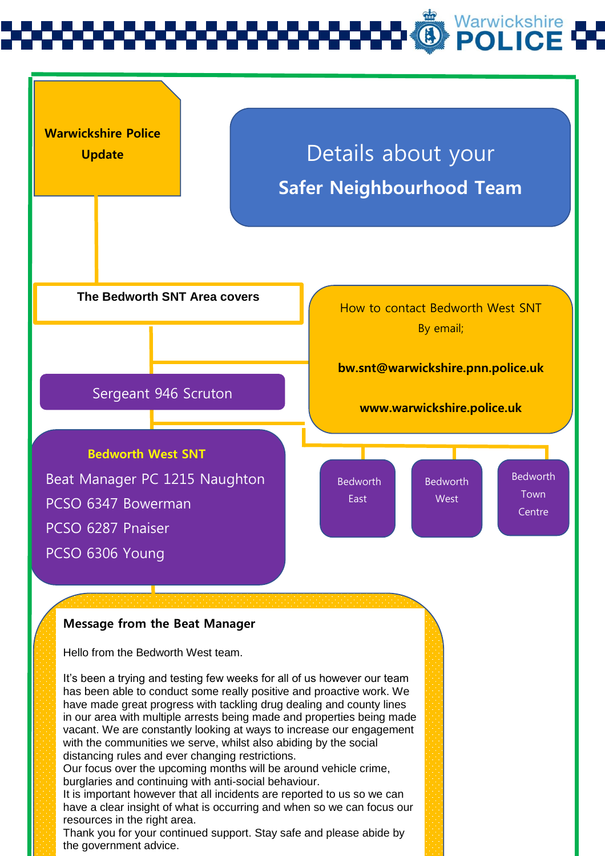# Warwickshire<br>**POLICE**



Hello from the Bedworth West team.

It's been a trying and testing few weeks for all of us however our team has been able to conduct some really positive and proactive work. We have made great progress with tackling drug dealing and county lines in our area with multiple arrests being made and properties being made vacant. We are constantly looking at ways to increase our engagement with the communities we serve, whilst also abiding by the social distancing rules and ever changing restrictions.

Our focus over the upcoming months will be around vehicle crime, burglaries and continuing with anti-social behaviour.

It is important however that all incidents are reported to us so we can have a clear insight of what is occurring and when so we can focus our resources in the right area.

Thank you for your continued support. Stay safe and please abide by the government advice.